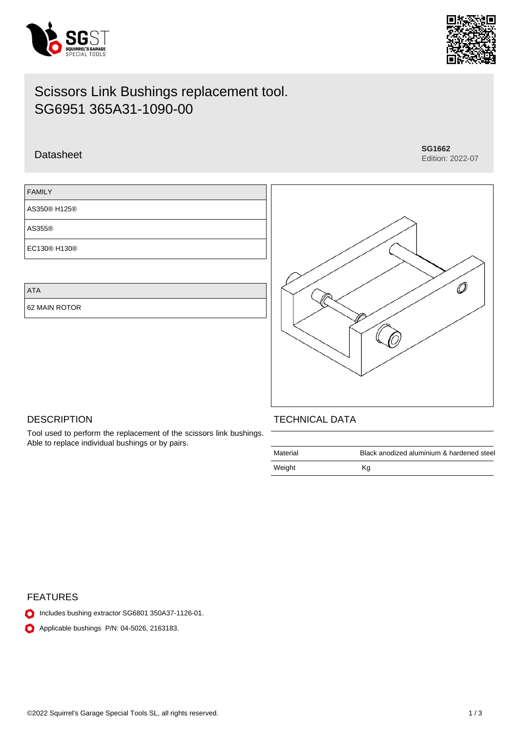



# Datasheet **SG1662**

Edition: 2022-07

## FAMILY

AS350® H125®

AS355®

EC130® H130®

ATA

62 MAIN ROTOR



## **DESCRIPTION**

Tool used to perform the replacement of the scissors link bushings. Able to replace individual bushings or by pairs.

#### TECHNICAL DATA

| Material | Black anodized aluminium & hardened steel |
|----------|-------------------------------------------|
| Weight   | Κq                                        |

## FEATURES

- Includes bushing extractor SG6801 350A37-1126-01.
- **Applicable bushings P/N: 04-5026, 2163183.**

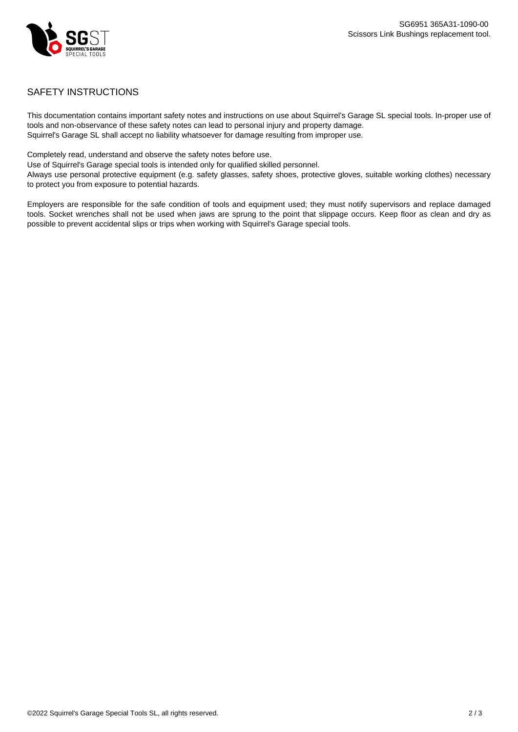

## SAFETY INSTRUCTIONS

This documentation contains important safety notes and instructions on use about Squirrel's Garage SL special tools. In-proper use of tools and non-observance of these safety notes can lead to personal injury and property damage. Squirrel's Garage SL shall accept no liability whatsoever for damage resulting from improper use.

Completely read, understand and observe the safety notes before use.

Use of Squirrel's Garage special tools is intended only for qualified skilled personnel.

Always use personal protective equipment (e.g. safety glasses, safety shoes, protective gloves, suitable working clothes) necessary to protect you from exposure to potential hazards.

Employers are responsible for the safe condition of tools and equipment used; they must notify supervisors and replace damaged tools. Socket wrenches shall not be used when jaws are sprung to the point that slippage occurs. Keep floor as clean and dry as possible to prevent accidental slips or trips when working with Squirrel's Garage special tools.